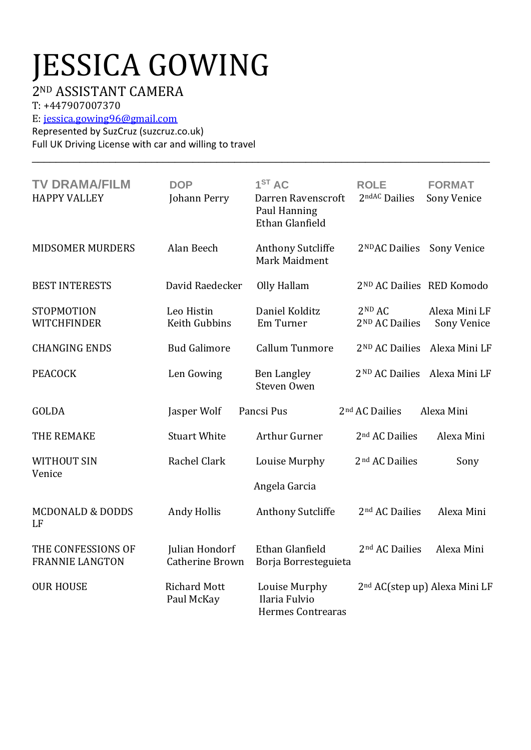## JESSICA GOWING

## 2ND ASSISTANT CAMERA

T: +447907007370

E[: jessica.gowing96@gmail.com](mailto:jessica.gowing96@gmail.com)

Represented by SuzCruz (suzcruz.co.uk) Full UK Driving License with car and willing to travel

| <b>TV DRAMA/FILM</b><br><b>HAPPY VALLEY</b>  | <b>DOP</b><br>Johann Perry               | 1 <sup>ST</sup> AC<br>Darren Ravenscroft<br>Paul Hanning<br>Ethan Glanfield | <b>ROLE</b><br>2ndAC Dailies                     | <b>FORMAT</b><br>Sony Venice              |
|----------------------------------------------|------------------------------------------|-----------------------------------------------------------------------------|--------------------------------------------------|-------------------------------------------|
| <b>MIDSOMER MURDERS</b>                      | Alan Beech                               | <b>Anthony Sutcliffe</b><br>Mark Maidment                                   | 2 <sup>ND</sup> AC Dailies                       | Sony Venice                               |
| <b>BEST INTERESTS</b>                        | David Raedecker                          | Olly Hallam                                                                 | 2 <sup>ND</sup> AC Dailies RED Komodo            |                                           |
| STOPMOTION<br><b>WITCHFINDER</b>             | Leo Histin<br>Keith Gubbins              | Daniel Kolditz<br>Em Turner                                                 | 2 <sup>ND</sup> AC<br>2 <sup>ND</sup> AC Dailies | Alexa Mini LF<br>Sony Venice              |
| <b>CHANGING ENDS</b>                         | <b>Bud Galimore</b>                      | <b>Callum Tunmore</b>                                                       | 2 <sup>ND</sup> AC Dailies                       | Alexa Mini LF                             |
| <b>PEACOCK</b>                               | Len Gowing                               | <b>Ben Langley</b><br>Steven Owen                                           | 2 <sup>ND</sup> AC Dailies                       | Alexa Mini LF                             |
| GOLDA                                        | Jasper Wolf                              | Pancsi Pus                                                                  | 2 <sup>nd</sup> AC Dailies                       | Alexa Mini                                |
| THE REMAKE                                   | <b>Stuart White</b>                      | Arthur Gurner                                                               | 2 <sup>nd</sup> AC Dailies                       | Alexa Mini                                |
| <b>WITHOUT SIN</b><br>Venice                 | Rachel Clark                             | Louise Murphy                                                               | 2 <sup>nd</sup> AC Dailies                       | Sony                                      |
|                                              |                                          | Angela Garcia                                                               |                                                  |                                           |
| <b>MCDONALD &amp; DODDS</b><br>LF            | <b>Andy Hollis</b>                       | <b>Anthony Sutcliffe</b>                                                    | 2 <sup>nd</sup> AC Dailies                       | Alexa Mini                                |
| THE CONFESSIONS OF<br><b>FRANNIE LANGTON</b> | Julian Hondorf<br><b>Catherine Brown</b> | Ethan Glanfield<br>Borja Borresteguieta                                     | 2 <sup>nd</sup> AC Dailies                       | Alexa Mini                                |
| <b>OUR HOUSE</b>                             | <b>Richard Mott</b><br>Paul McKay        | Louise Murphy<br>Ilaria Fulvio<br><b>Hermes Contrearas</b>                  |                                                  | 2 <sup>nd</sup> AC(step up) Alexa Mini LF |

\_\_\_\_\_\_\_\_\_\_\_\_\_\_\_\_\_\_\_\_\_\_\_\_\_\_\_\_\_\_\_\_\_\_\_\_\_\_\_\_\_\_\_\_\_\_\_\_\_\_\_\_\_\_\_\_\_\_\_\_\_\_\_\_\_\_\_\_\_\_\_\_\_\_\_\_\_